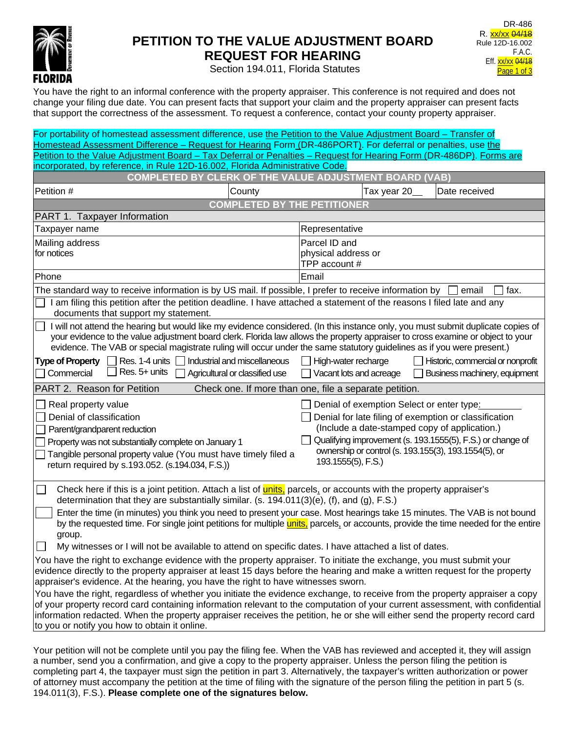

# **PETITION TO THE VALUE ADJUSTMENT BOARD REQUEST FOR HEARING**

DR-486 R. xx/xx 04/18 Rule 12D-16.002 F.A.C. Eff. xx/xx 04/18 Page 1 of 3

Section 194.011, Florida Statutes

You have the right to an informal conference with the property appraiser. This conference is not required and does not change your filing due date. You can present facts that support your claim and the property appraiser can present facts that support the correctness of the assessment. To request a conference, contact your county property appraiser.

| For portability of homestead assessment difference, use the Petition to the Value Adjustment Board – Transfer of                                                                                                                                                                                                                                                                                                                                                                                                                                                                                                               |                                                                |                                                       |                                                                                                                                                                                                                                                                           |                                   |               |                               |  |
|--------------------------------------------------------------------------------------------------------------------------------------------------------------------------------------------------------------------------------------------------------------------------------------------------------------------------------------------------------------------------------------------------------------------------------------------------------------------------------------------------------------------------------------------------------------------------------------------------------------------------------|----------------------------------------------------------------|-------------------------------------------------------|---------------------------------------------------------------------------------------------------------------------------------------------------------------------------------------------------------------------------------------------------------------------------|-----------------------------------|---------------|-------------------------------|--|
| Homestead Assessment Difference - Request for Hearing Form (DR-486PORT). For deferral or penalties, use the<br>Petition to the Value Adjustment Board - Tax Deferral or Penalties - Request for Hearing Form (DR-486DP). Forms are                                                                                                                                                                                                                                                                                                                                                                                             |                                                                |                                                       |                                                                                                                                                                                                                                                                           |                                   |               |                               |  |
| incorporated, by reference, in Rule 12D-16.002, Florida Administrative Code.                                                                                                                                                                                                                                                                                                                                                                                                                                                                                                                                                   |                                                                |                                                       |                                                                                                                                                                                                                                                                           |                                   |               |                               |  |
| <b>COMPLETED BY</b>                                                                                                                                                                                                                                                                                                                                                                                                                                                                                                                                                                                                            | <b>CLERK OF THE VALUE ADJUSTMENT BOARD (VAB)</b>               |                                                       |                                                                                                                                                                                                                                                                           |                                   |               |                               |  |
| Petition #                                                                                                                                                                                                                                                                                                                                                                                                                                                                                                                                                                                                                     | County                                                         |                                                       | Tax year 20                                                                                                                                                                                                                                                               |                                   | Date received |                               |  |
|                                                                                                                                                                                                                                                                                                                                                                                                                                                                                                                                                                                                                                | <b>COMPLETED BY</b>                                            | <b>THE PETITIONER</b>                                 |                                                                                                                                                                                                                                                                           |                                   |               |                               |  |
| PART 1. Taxpayer Information                                                                                                                                                                                                                                                                                                                                                                                                                                                                                                                                                                                                   |                                                                |                                                       |                                                                                                                                                                                                                                                                           |                                   |               |                               |  |
| Taxpayer name                                                                                                                                                                                                                                                                                                                                                                                                                                                                                                                                                                                                                  |                                                                | Representative                                        |                                                                                                                                                                                                                                                                           |                                   |               |                               |  |
| Mailing address                                                                                                                                                                                                                                                                                                                                                                                                                                                                                                                                                                                                                |                                                                | Parcel ID and                                         |                                                                                                                                                                                                                                                                           |                                   |               |                               |  |
| for notices                                                                                                                                                                                                                                                                                                                                                                                                                                                                                                                                                                                                                    |                                                                | physical address or                                   |                                                                                                                                                                                                                                                                           |                                   |               |                               |  |
|                                                                                                                                                                                                                                                                                                                                                                                                                                                                                                                                                                                                                                |                                                                | TPP account #                                         |                                                                                                                                                                                                                                                                           |                                   |               |                               |  |
| Phone                                                                                                                                                                                                                                                                                                                                                                                                                                                                                                                                                                                                                          |                                                                | Email                                                 |                                                                                                                                                                                                                                                                           |                                   |               |                               |  |
| The standard way to receive information is by US mail. If possible, I prefer to receive information by<br>fax.<br>email                                                                                                                                                                                                                                                                                                                                                                                                                                                                                                        |                                                                |                                                       |                                                                                                                                                                                                                                                                           |                                   |               |                               |  |
| I am filing this petition after the petition deadline. I have attached a statement of the reasons I filed late and any<br>documents that support my statement.                                                                                                                                                                                                                                                                                                                                                                                                                                                                 |                                                                |                                                       |                                                                                                                                                                                                                                                                           |                                   |               |                               |  |
| I will not attend the hearing but would like my evidence considered. (In this instance only, you must submit duplicate copies of<br>your evidence to the value adjustment board clerk. Florida law allows the property appraiser to cross examine or object to your<br>evidence. The VAB or special magistrate ruling will occur under the same statutory guidelines as if you were present.)                                                                                                                                                                                                                                  |                                                                |                                                       |                                                                                                                                                                                                                                                                           |                                   |               |                               |  |
| $\Box$ Res. 1-4 units<br><b>Type of Property</b><br>Res. 5+ units<br>Commercial                                                                                                                                                                                                                                                                                                                                                                                                                                                                                                                                                | Industrial and miscellaneous<br>Agricultural or classified use | $\Box$ High-water recharge<br>Vacant lots and acreage |                                                                                                                                                                                                                                                                           | Historic, commercial or nonprofit |               | Business machinery, equipment |  |
| PART 2. Reason for Petition<br>Check one. If more than one, file a separate petition.                                                                                                                                                                                                                                                                                                                                                                                                                                                                                                                                          |                                                                |                                                       |                                                                                                                                                                                                                                                                           |                                   |               |                               |  |
| Real property value<br>Denial of classification<br>Parent/grandparent reduction<br>Property was not substantially complete on January 1<br>Tangible personal property value (You must have timely filed a<br>return required by s.193.052. (s.194.034, F.S.))                                                                                                                                                                                                                                                                                                                                                                  |                                                                | 193.1555(5), F.S.)                                    | Denial of exemption Select or enter type:<br>Denial for late filing of exemption or classification<br>(Include a date-stamped copy of application.)<br>Qualifying improvement (s. 193.1555(5), F.S.) or change of<br>ownership or control (s. 193.155(3), 193.1554(5), or |                                   |               |                               |  |
| Check here if this is a joint petition. Attach a list of <b>units</b> , parcels, or accounts with the property appraiser's<br>determination that they are substantially similar. (s. 194.011(3)(e), (f), and (g), F.S.)<br>Enter the time (in minutes) you think you need to present your case. Most hearings take 15 minutes. The VAB is not bound<br>by the requested time. For single joint petitions for multiple <i>units</i> , parcels, or accounts, provide the time needed for the entire<br>group.<br>$\Box$<br>My witnesses or I will not be available to attend on specific dates. I have attached a list of dates. |                                                                |                                                       |                                                                                                                                                                                                                                                                           |                                   |               |                               |  |
| You have the right to exchange evidence with the property appraiser. To initiate the exchange, you must submit your<br>evidence directly to the property appraiser at least 15 days before the hearing and make a written request for the property<br>appraiser's evidence. At the hearing, you have the right to have witnesses sworn.<br>You have the right, regardless of whether you initiate the evidence exchange, to receive from the property appraiser a copy                                                                                                                                                         |                                                                |                                                       |                                                                                                                                                                                                                                                                           |                                   |               |                               |  |
| of your property record card containing information relevant to the computation of your current assessment, with confidential<br>information redacted. When the property appraiser receives the petition, he or she will either send the property record card<br>to you or notify you how to obtain it online.                                                                                                                                                                                                                                                                                                                 |                                                                |                                                       |                                                                                                                                                                                                                                                                           |                                   |               |                               |  |

Your petition will not be complete until you pay the filing fee. When the VAB has reviewed and accepted it, they will assign a number, send you a confirmation, and give a copy to the property appraiser. Unless the person filing the petition is completing part 4, the taxpayer must sign the petition in part 3. Alternatively, the taxpayer's written authorization or power of attorney must accompany the petition at the time of filing with the signature of the person filing the petition in part 5 (s. 194.011(3), F.S.). **Please complete one of the signatures below.**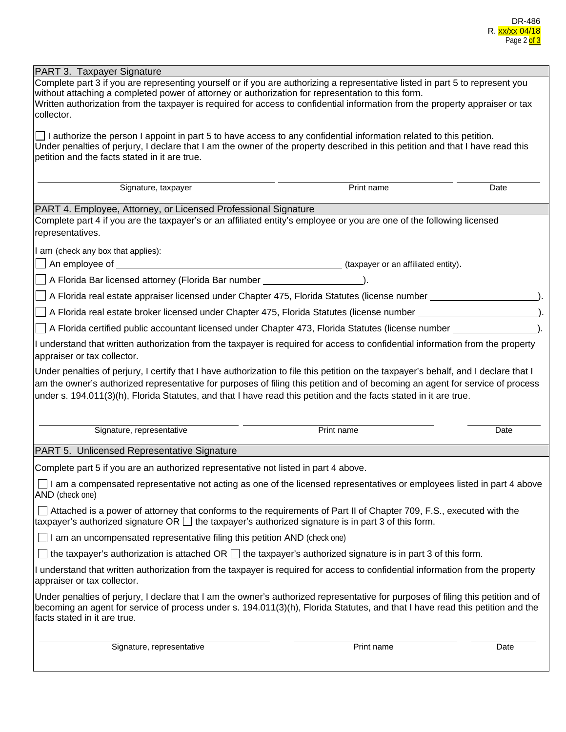| Complete part 3 if you are representing yourself or if you are authorizing a representative listed in part 5 to represent you<br>without attaching a completed power of attorney or authorization for representation to this form.<br>Written authorization from the taxpayer is required for access to confidential information from the property appraiser or tax<br>$\Box$ I authorize the person I appoint in part 5 to have access to any confidential information related to this petition.<br>Under penalties of perjury, I declare that I am the owner of the property described in this petition and that I have read this<br>Print name<br>Signature, taxpayer<br>Date<br>PART 4. Employee, Attorney, or Licensed Professional Signature<br>Complete part 4 if you are the taxpayer's or an affiliated entity's employee or you are one of the following licensed<br>I am (check any box that applies):<br>A Florida Bar licensed attorney (Florida Bar number ______________________).<br>A Florida real estate appraiser licensed under Chapter 475, Florida Statutes (license number _________________<br>A Florida real estate broker licensed under Chapter 475, Florida Statutes (license number ____________________<br>A Florida certified public accountant licensed under Chapter 473, Florida Statutes (license number<br>I understand that written authorization from the taxpayer is required for access to confidential information from the property<br>Under penalties of perjury, I certify that I have authorization to file this petition on the taxpayer's behalf, and I declare that I<br>am the owner's authorized representative for purposes of filing this petition and of becoming an agent for service of process<br>under s. 194.011(3)(h), Florida Statutes, and that I have read this petition and the facts stated in it are true.<br>Print name<br>Signature, representative<br>Date<br>Complete part 5 if you are an authorized representative not listed in part 4 above.<br>$\Box$ I am a compensated representative not acting as one of the licensed representatives or employees listed in part 4 above<br>□ Attached is a power of attorney that conforms to the requirements of Part II of Chapter 709, F.S., executed with the<br>taxpayer's authorized signature OR $\Box$ the taxpayer's authorized signature is in part 3 of this form.<br>$\Box$ I am an uncompensated representative filing this petition AND (check one)<br>$\Box$ the taxpayer's authorization is attached OR $\Box$ the taxpayer's authorized signature is in part 3 of this form.<br>I understand that written authorization from the taxpayer is required for access to confidential information from the property<br>Print name<br>Signature, representative<br>Date |                                                                                                                                                                                                                                                                                                    |  |  |  |  |  |
|----------------------------------------------------------------------------------------------------------------------------------------------------------------------------------------------------------------------------------------------------------------------------------------------------------------------------------------------------------------------------------------------------------------------------------------------------------------------------------------------------------------------------------------------------------------------------------------------------------------------------------------------------------------------------------------------------------------------------------------------------------------------------------------------------------------------------------------------------------------------------------------------------------------------------------------------------------------------------------------------------------------------------------------------------------------------------------------------------------------------------------------------------------------------------------------------------------------------------------------------------------------------------------------------------------------------------------------------------------------------------------------------------------------------------------------------------------------------------------------------------------------------------------------------------------------------------------------------------------------------------------------------------------------------------------------------------------------------------------------------------------------------------------------------------------------------------------------------------------------------------------------------------------------------------------------------------------------------------------------------------------------------------------------------------------------------------------------------------------------------------------------------------------------------------------------------------------------------------------------------------------------------------------------------------------------------------------------------------------------------------------------------------------------------------------------------------------------------------------------------------------------------------------------------------------------------------------------------------------------------------------------------------------------------------------------------------------------------------------------------------------------------------------------------------|----------------------------------------------------------------------------------------------------------------------------------------------------------------------------------------------------------------------------------------------------------------------------------------------------|--|--|--|--|--|
|                                                                                                                                                                                                                                                                                                                                                                                                                                                                                                                                                                                                                                                                                                                                                                                                                                                                                                                                                                                                                                                                                                                                                                                                                                                                                                                                                                                                                                                                                                                                                                                                                                                                                                                                                                                                                                                                                                                                                                                                                                                                                                                                                                                                                                                                                                                                                                                                                                                                                                                                                                                                                                                                                                                                                                                                    | PART 3. Taxpayer Signature                                                                                                                                                                                                                                                                         |  |  |  |  |  |
|                                                                                                                                                                                                                                                                                                                                                                                                                                                                                                                                                                                                                                                                                                                                                                                                                                                                                                                                                                                                                                                                                                                                                                                                                                                                                                                                                                                                                                                                                                                                                                                                                                                                                                                                                                                                                                                                                                                                                                                                                                                                                                                                                                                                                                                                                                                                                                                                                                                                                                                                                                                                                                                                                                                                                                                                    | collector.                                                                                                                                                                                                                                                                                         |  |  |  |  |  |
|                                                                                                                                                                                                                                                                                                                                                                                                                                                                                                                                                                                                                                                                                                                                                                                                                                                                                                                                                                                                                                                                                                                                                                                                                                                                                                                                                                                                                                                                                                                                                                                                                                                                                                                                                                                                                                                                                                                                                                                                                                                                                                                                                                                                                                                                                                                                                                                                                                                                                                                                                                                                                                                                                                                                                                                                    | petition and the facts stated in it are true.                                                                                                                                                                                                                                                      |  |  |  |  |  |
|                                                                                                                                                                                                                                                                                                                                                                                                                                                                                                                                                                                                                                                                                                                                                                                                                                                                                                                                                                                                                                                                                                                                                                                                                                                                                                                                                                                                                                                                                                                                                                                                                                                                                                                                                                                                                                                                                                                                                                                                                                                                                                                                                                                                                                                                                                                                                                                                                                                                                                                                                                                                                                                                                                                                                                                                    |                                                                                                                                                                                                                                                                                                    |  |  |  |  |  |
|                                                                                                                                                                                                                                                                                                                                                                                                                                                                                                                                                                                                                                                                                                                                                                                                                                                                                                                                                                                                                                                                                                                                                                                                                                                                                                                                                                                                                                                                                                                                                                                                                                                                                                                                                                                                                                                                                                                                                                                                                                                                                                                                                                                                                                                                                                                                                                                                                                                                                                                                                                                                                                                                                                                                                                                                    |                                                                                                                                                                                                                                                                                                    |  |  |  |  |  |
|                                                                                                                                                                                                                                                                                                                                                                                                                                                                                                                                                                                                                                                                                                                                                                                                                                                                                                                                                                                                                                                                                                                                                                                                                                                                                                                                                                                                                                                                                                                                                                                                                                                                                                                                                                                                                                                                                                                                                                                                                                                                                                                                                                                                                                                                                                                                                                                                                                                                                                                                                                                                                                                                                                                                                                                                    | representatives.                                                                                                                                                                                                                                                                                   |  |  |  |  |  |
|                                                                                                                                                                                                                                                                                                                                                                                                                                                                                                                                                                                                                                                                                                                                                                                                                                                                                                                                                                                                                                                                                                                                                                                                                                                                                                                                                                                                                                                                                                                                                                                                                                                                                                                                                                                                                                                                                                                                                                                                                                                                                                                                                                                                                                                                                                                                                                                                                                                                                                                                                                                                                                                                                                                                                                                                    |                                                                                                                                                                                                                                                                                                    |  |  |  |  |  |
|                                                                                                                                                                                                                                                                                                                                                                                                                                                                                                                                                                                                                                                                                                                                                                                                                                                                                                                                                                                                                                                                                                                                                                                                                                                                                                                                                                                                                                                                                                                                                                                                                                                                                                                                                                                                                                                                                                                                                                                                                                                                                                                                                                                                                                                                                                                                                                                                                                                                                                                                                                                                                                                                                                                                                                                                    |                                                                                                                                                                                                                                                                                                    |  |  |  |  |  |
|                                                                                                                                                                                                                                                                                                                                                                                                                                                                                                                                                                                                                                                                                                                                                                                                                                                                                                                                                                                                                                                                                                                                                                                                                                                                                                                                                                                                                                                                                                                                                                                                                                                                                                                                                                                                                                                                                                                                                                                                                                                                                                                                                                                                                                                                                                                                                                                                                                                                                                                                                                                                                                                                                                                                                                                                    |                                                                                                                                                                                                                                                                                                    |  |  |  |  |  |
|                                                                                                                                                                                                                                                                                                                                                                                                                                                                                                                                                                                                                                                                                                                                                                                                                                                                                                                                                                                                                                                                                                                                                                                                                                                                                                                                                                                                                                                                                                                                                                                                                                                                                                                                                                                                                                                                                                                                                                                                                                                                                                                                                                                                                                                                                                                                                                                                                                                                                                                                                                                                                                                                                                                                                                                                    |                                                                                                                                                                                                                                                                                                    |  |  |  |  |  |
|                                                                                                                                                                                                                                                                                                                                                                                                                                                                                                                                                                                                                                                                                                                                                                                                                                                                                                                                                                                                                                                                                                                                                                                                                                                                                                                                                                                                                                                                                                                                                                                                                                                                                                                                                                                                                                                                                                                                                                                                                                                                                                                                                                                                                                                                                                                                                                                                                                                                                                                                                                                                                                                                                                                                                                                                    |                                                                                                                                                                                                                                                                                                    |  |  |  |  |  |
|                                                                                                                                                                                                                                                                                                                                                                                                                                                                                                                                                                                                                                                                                                                                                                                                                                                                                                                                                                                                                                                                                                                                                                                                                                                                                                                                                                                                                                                                                                                                                                                                                                                                                                                                                                                                                                                                                                                                                                                                                                                                                                                                                                                                                                                                                                                                                                                                                                                                                                                                                                                                                                                                                                                                                                                                    |                                                                                                                                                                                                                                                                                                    |  |  |  |  |  |
|                                                                                                                                                                                                                                                                                                                                                                                                                                                                                                                                                                                                                                                                                                                                                                                                                                                                                                                                                                                                                                                                                                                                                                                                                                                                                                                                                                                                                                                                                                                                                                                                                                                                                                                                                                                                                                                                                                                                                                                                                                                                                                                                                                                                                                                                                                                                                                                                                                                                                                                                                                                                                                                                                                                                                                                                    |                                                                                                                                                                                                                                                                                                    |  |  |  |  |  |
|                                                                                                                                                                                                                                                                                                                                                                                                                                                                                                                                                                                                                                                                                                                                                                                                                                                                                                                                                                                                                                                                                                                                                                                                                                                                                                                                                                                                                                                                                                                                                                                                                                                                                                                                                                                                                                                                                                                                                                                                                                                                                                                                                                                                                                                                                                                                                                                                                                                                                                                                                                                                                                                                                                                                                                                                    | appraiser or tax collector.                                                                                                                                                                                                                                                                        |  |  |  |  |  |
|                                                                                                                                                                                                                                                                                                                                                                                                                                                                                                                                                                                                                                                                                                                                                                                                                                                                                                                                                                                                                                                                                                                                                                                                                                                                                                                                                                                                                                                                                                                                                                                                                                                                                                                                                                                                                                                                                                                                                                                                                                                                                                                                                                                                                                                                                                                                                                                                                                                                                                                                                                                                                                                                                                                                                                                                    |                                                                                                                                                                                                                                                                                                    |  |  |  |  |  |
|                                                                                                                                                                                                                                                                                                                                                                                                                                                                                                                                                                                                                                                                                                                                                                                                                                                                                                                                                                                                                                                                                                                                                                                                                                                                                                                                                                                                                                                                                                                                                                                                                                                                                                                                                                                                                                                                                                                                                                                                                                                                                                                                                                                                                                                                                                                                                                                                                                                                                                                                                                                                                                                                                                                                                                                                    |                                                                                                                                                                                                                                                                                                    |  |  |  |  |  |
|                                                                                                                                                                                                                                                                                                                                                                                                                                                                                                                                                                                                                                                                                                                                                                                                                                                                                                                                                                                                                                                                                                                                                                                                                                                                                                                                                                                                                                                                                                                                                                                                                                                                                                                                                                                                                                                                                                                                                                                                                                                                                                                                                                                                                                                                                                                                                                                                                                                                                                                                                                                                                                                                                                                                                                                                    | PART 5. Unlicensed Representative Signature                                                                                                                                                                                                                                                        |  |  |  |  |  |
|                                                                                                                                                                                                                                                                                                                                                                                                                                                                                                                                                                                                                                                                                                                                                                                                                                                                                                                                                                                                                                                                                                                                                                                                                                                                                                                                                                                                                                                                                                                                                                                                                                                                                                                                                                                                                                                                                                                                                                                                                                                                                                                                                                                                                                                                                                                                                                                                                                                                                                                                                                                                                                                                                                                                                                                                    |                                                                                                                                                                                                                                                                                                    |  |  |  |  |  |
|                                                                                                                                                                                                                                                                                                                                                                                                                                                                                                                                                                                                                                                                                                                                                                                                                                                                                                                                                                                                                                                                                                                                                                                                                                                                                                                                                                                                                                                                                                                                                                                                                                                                                                                                                                                                                                                                                                                                                                                                                                                                                                                                                                                                                                                                                                                                                                                                                                                                                                                                                                                                                                                                                                                                                                                                    | AND (check one)                                                                                                                                                                                                                                                                                    |  |  |  |  |  |
|                                                                                                                                                                                                                                                                                                                                                                                                                                                                                                                                                                                                                                                                                                                                                                                                                                                                                                                                                                                                                                                                                                                                                                                                                                                                                                                                                                                                                                                                                                                                                                                                                                                                                                                                                                                                                                                                                                                                                                                                                                                                                                                                                                                                                                                                                                                                                                                                                                                                                                                                                                                                                                                                                                                                                                                                    |                                                                                                                                                                                                                                                                                                    |  |  |  |  |  |
|                                                                                                                                                                                                                                                                                                                                                                                                                                                                                                                                                                                                                                                                                                                                                                                                                                                                                                                                                                                                                                                                                                                                                                                                                                                                                                                                                                                                                                                                                                                                                                                                                                                                                                                                                                                                                                                                                                                                                                                                                                                                                                                                                                                                                                                                                                                                                                                                                                                                                                                                                                                                                                                                                                                                                                                                    |                                                                                                                                                                                                                                                                                                    |  |  |  |  |  |
|                                                                                                                                                                                                                                                                                                                                                                                                                                                                                                                                                                                                                                                                                                                                                                                                                                                                                                                                                                                                                                                                                                                                                                                                                                                                                                                                                                                                                                                                                                                                                                                                                                                                                                                                                                                                                                                                                                                                                                                                                                                                                                                                                                                                                                                                                                                                                                                                                                                                                                                                                                                                                                                                                                                                                                                                    |                                                                                                                                                                                                                                                                                                    |  |  |  |  |  |
|                                                                                                                                                                                                                                                                                                                                                                                                                                                                                                                                                                                                                                                                                                                                                                                                                                                                                                                                                                                                                                                                                                                                                                                                                                                                                                                                                                                                                                                                                                                                                                                                                                                                                                                                                                                                                                                                                                                                                                                                                                                                                                                                                                                                                                                                                                                                                                                                                                                                                                                                                                                                                                                                                                                                                                                                    | appraiser or tax collector.                                                                                                                                                                                                                                                                        |  |  |  |  |  |
|                                                                                                                                                                                                                                                                                                                                                                                                                                                                                                                                                                                                                                                                                                                                                                                                                                                                                                                                                                                                                                                                                                                                                                                                                                                                                                                                                                                                                                                                                                                                                                                                                                                                                                                                                                                                                                                                                                                                                                                                                                                                                                                                                                                                                                                                                                                                                                                                                                                                                                                                                                                                                                                                                                                                                                                                    | Under penalties of perjury, I declare that I am the owner's authorized representative for purposes of filing this petition and of<br>becoming an agent for service of process under s. 194.011(3)(h), Florida Statutes, and that I have read this petition and the<br>facts stated in it are true. |  |  |  |  |  |
|                                                                                                                                                                                                                                                                                                                                                                                                                                                                                                                                                                                                                                                                                                                                                                                                                                                                                                                                                                                                                                                                                                                                                                                                                                                                                                                                                                                                                                                                                                                                                                                                                                                                                                                                                                                                                                                                                                                                                                                                                                                                                                                                                                                                                                                                                                                                                                                                                                                                                                                                                                                                                                                                                                                                                                                                    |                                                                                                                                                                                                                                                                                                    |  |  |  |  |  |